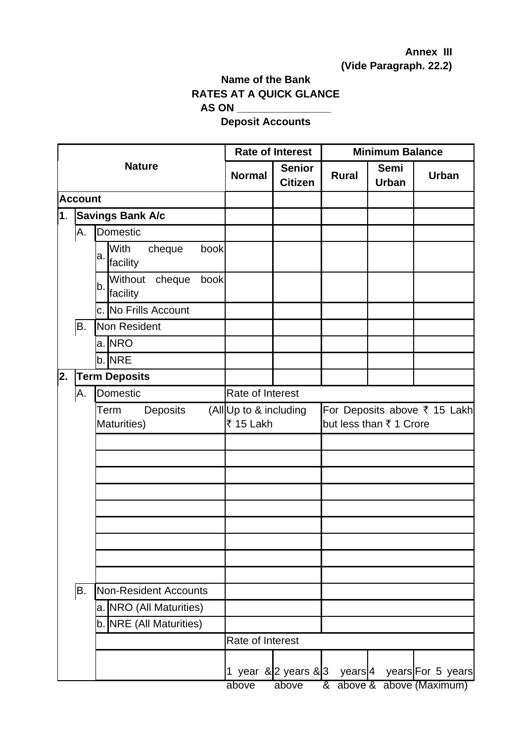## **Annex III (Vide Paragraph. 22.2)**

## **Name of the Bank RATES AT A QUICK GLANCE AS ON \_\_\_\_\_\_\_\_\_\_\_\_\_\_\_\_**

## **Deposit Accounts**

|    |                |                                             |                                     | <b>Rate of Interest</b>         | <b>Minimum Balance</b>                                  |                      |                           |  |
|----|----------------|---------------------------------------------|-------------------------------------|---------------------------------|---------------------------------------------------------|----------------------|---------------------------|--|
|    |                | <b>Nature</b>                               | <b>Normal</b>                       | <b>Senior</b><br><b>Citizen</b> | <b>Rural</b>                                            | Semi<br><b>Urban</b> | <b>Urban</b>              |  |
|    | <b>Account</b> |                                             |                                     |                                 |                                                         |                      |                           |  |
| 1. |                | <b>Savings Bank A/c</b>                     |                                     |                                 |                                                         |                      |                           |  |
|    | Α.             | Domestic                                    |                                     |                                 |                                                         |                      |                           |  |
|    |                | With<br>cheque<br>book<br>a.<br>facility    |                                     |                                 |                                                         |                      |                           |  |
|    |                | Without<br>cheque<br>book<br>b.<br>facility |                                     |                                 |                                                         |                      |                           |  |
|    |                | c. No Frills Account                        |                                     |                                 |                                                         |                      |                           |  |
|    | B.             | Non Resident                                |                                     |                                 |                                                         |                      |                           |  |
|    |                | a. NRO                                      |                                     |                                 |                                                         |                      |                           |  |
|    |                | $b$ . NRE                                   |                                     |                                 |                                                         |                      |                           |  |
| 2. |                | <b>Term Deposits</b>                        |                                     |                                 |                                                         |                      |                           |  |
|    | Α.             | Domestic                                    | Rate of Interest                    |                                 |                                                         |                      |                           |  |
|    |                | Term<br><b>Deposits</b><br>Maturities)      | (All Up to & including<br>₹ 15 Lakh |                                 | For Deposits above ₹ 15 Lakh<br>but less than ₹ 1 Crore |                      |                           |  |
|    |                |                                             |                                     |                                 |                                                         |                      |                           |  |
|    |                |                                             |                                     |                                 |                                                         |                      |                           |  |
|    |                |                                             |                                     |                                 |                                                         |                      |                           |  |
|    |                |                                             |                                     |                                 |                                                         |                      |                           |  |
|    |                |                                             |                                     |                                 |                                                         |                      |                           |  |
|    |                |                                             |                                     |                                 |                                                         |                      |                           |  |
|    |                |                                             |                                     |                                 |                                                         |                      |                           |  |
|    |                |                                             |                                     |                                 |                                                         |                      |                           |  |
|    |                |                                             |                                     |                                 |                                                         |                      |                           |  |
|    | B.             | Non-Resident Accounts                       |                                     |                                 |                                                         |                      |                           |  |
|    |                | a. NRO (All Maturities)                     |                                     |                                 |                                                         |                      |                           |  |
|    |                | b. NRE (All Maturities)                     |                                     |                                 |                                                         |                      |                           |  |
|    |                |                                             | Rate of Interest                    |                                 |                                                         |                      |                           |  |
|    |                |                                             |                                     | 1 year $\&$ 2 years $\&$ 3      | years <b> </b> 4                                        |                      | years For 5 years         |  |
|    |                |                                             | above                               | above                           |                                                         |                      | & above & above (Maximum) |  |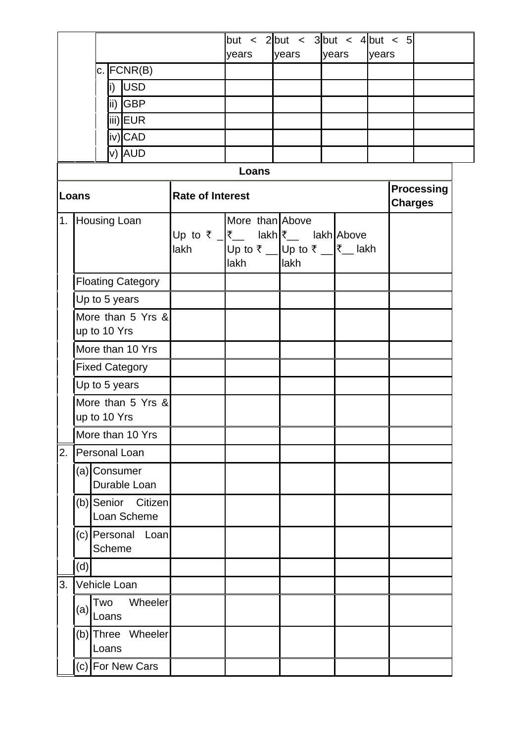|                                   |                                                                                                      |               |                                   | years                   |      | but < 2 but < 3 but < 4 but < 5<br>years |                                                                    | years | years |                                     |  |  |  |
|-----------------------------------|------------------------------------------------------------------------------------------------------|---------------|-----------------------------------|-------------------------|------|------------------------------------------|--------------------------------------------------------------------|-------|-------|-------------------------------------|--|--|--|
|                                   |                                                                                                      | $c.$ FCNR(B)  |                                   |                         |      |                                          |                                                                    |       |       |                                     |  |  |  |
|                                   |                                                                                                      |               | i) USD                            |                         |      |                                          |                                                                    |       |       |                                     |  |  |  |
|                                   |                                                                                                      |               | ii) GBP                           |                         |      |                                          |                                                                    |       |       |                                     |  |  |  |
|                                   | iii)EUR                                                                                              |               |                                   |                         |      |                                          |                                                                    |       |       |                                     |  |  |  |
|                                   |                                                                                                      |               | iv)CAD                            |                         |      |                                          |                                                                    |       |       |                                     |  |  |  |
|                                   | v) AUD                                                                                               |               |                                   |                         |      |                                          |                                                                    |       |       |                                     |  |  |  |
|                                   |                                                                                                      |               |                                   |                         |      | Loans                                    |                                                                    |       |       |                                     |  |  |  |
| Loans                             |                                                                                                      |               |                                   | <b>Rate of Interest</b> |      |                                          |                                                                    |       |       | <b>Processing</b><br><b>Charges</b> |  |  |  |
|                                   | 1. Housing Loan<br>Up to ₹ $\overline{\mathcal{F}}$ lakh $\overline{\mathcal{F}}$ lakh Above<br>lakh |               |                                   |                         | lakh |                                          | More than Above<br>Up to ₹ _ Up to ₹ _ $\bar{\zeta}$ lakh<br>llakh |       |       |                                     |  |  |  |
|                                   |                                                                                                      |               | <b>Floating Category</b>          |                         |      |                                          |                                                                    |       |       |                                     |  |  |  |
|                                   | Up to 5 years                                                                                        |               |                                   |                         |      |                                          |                                                                    |       |       |                                     |  |  |  |
|                                   | More than 5 Yrs &<br>up to 10 Yrs                                                                    |               |                                   |                         |      |                                          |                                                                    |       |       |                                     |  |  |  |
|                                   | More than 10 Yrs                                                                                     |               |                                   |                         |      |                                          |                                                                    |       |       |                                     |  |  |  |
|                                   | <b>Fixed Category</b>                                                                                |               |                                   |                         |      |                                          |                                                                    |       |       |                                     |  |  |  |
|                                   | Up to 5 years                                                                                        |               |                                   |                         |      |                                          |                                                                    |       |       |                                     |  |  |  |
| More than 5 Yrs &<br>up to 10 Yrs |                                                                                                      |               |                                   |                         |      |                                          |                                                                    |       |       |                                     |  |  |  |
|                                   | More than 10 Yrs                                                                                     |               |                                   |                         |      |                                          |                                                                    |       |       |                                     |  |  |  |
| 2.                                | Personal Loan                                                                                        |               |                                   |                         |      |                                          |                                                                    |       |       |                                     |  |  |  |
|                                   |                                                                                                      | (a) Consumer  | Durable Loan                      |                         |      |                                          |                                                                    |       |       |                                     |  |  |  |
|                                   |                                                                                                      |               | (b) Senior Citizen<br>Loan Scheme |                         |      |                                          |                                                                    |       |       |                                     |  |  |  |
|                                   |                                                                                                      | <b>Scheme</b> | (c) Personal Loan                 |                         |      |                                          |                                                                    |       |       |                                     |  |  |  |
|                                   | (d)                                                                                                  |               |                                   |                         |      |                                          |                                                                    |       |       |                                     |  |  |  |
| 3.                                | Vehicle Loan                                                                                         |               |                                   |                         |      |                                          |                                                                    |       |       |                                     |  |  |  |
|                                   | (a)                                                                                                  | Two<br>Loans  | Wheeler                           |                         |      |                                          |                                                                    |       |       |                                     |  |  |  |
|                                   |                                                                                                      | Loans         | (b) Three Wheeler                 |                         |      |                                          |                                                                    |       |       |                                     |  |  |  |
|                                   |                                                                                                      |               | (c) For New Cars                  |                         |      |                                          |                                                                    |       |       |                                     |  |  |  |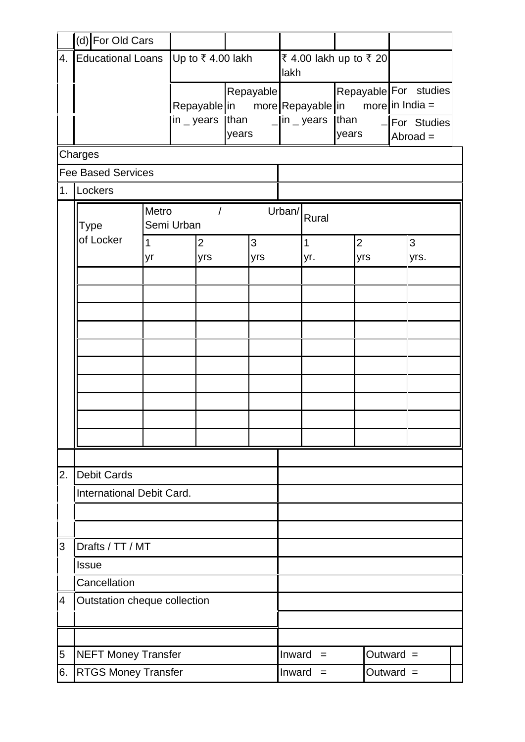|                          | (d) For Old Cars             |                    |                                                       |  |                    |                                |                              |                                       |               |     |                                                                         |  |
|--------------------------|------------------------------|--------------------|-------------------------------------------------------|--|--------------------|--------------------------------|------------------------------|---------------------------------------|---------------|-----|-------------------------------------------------------------------------|--|
| 4.                       | <b>Educational Loans</b>     |                    | Up to ₹4.00 lakh                                      |  |                    | ₹ 4.00 lakh up to ₹ 20<br>lakh |                              |                                       |               |     |                                                                         |  |
|                          |                              |                    | Repayable in more Repayable in<br>in $\_$ years [than |  | Repayable<br>years |                                | $\Box$ in $\Box$ years       |                                       | than<br>years |     | Repayable For studies<br>more in India $=$<br>For Studies<br>$Abroad =$ |  |
|                          | Charges                      |                    |                                                       |  |                    |                                |                              |                                       |               |     |                                                                         |  |
|                          | <b>Fee Based Services</b>    |                    |                                                       |  |                    |                                |                              |                                       |               |     |                                                                         |  |
|                          | 1. Lockers                   |                    |                                                       |  |                    |                                |                              |                                       |               |     |                                                                         |  |
|                          | <b>Type</b>                  |                    | Metro<br>$\prime$<br>Semi Urban                       |  |                    |                                | Urban/<br>Rural              |                                       |               |     |                                                                         |  |
|                          | of Locker                    | $\mathbf{1}$<br>yr | $\overline{2}$<br>yrs                                 |  | 3<br>yrs           |                                |                              | $\mathbf{1}$<br>$\overline{2}$<br>yr. |               | yrs | 3<br>yrs.                                                               |  |
|                          |                              |                    |                                                       |  |                    |                                |                              |                                       |               |     |                                                                         |  |
|                          |                              |                    |                                                       |  |                    |                                |                              |                                       |               |     |                                                                         |  |
|                          |                              |                    |                                                       |  |                    |                                |                              |                                       |               |     |                                                                         |  |
|                          |                              |                    |                                                       |  |                    |                                |                              |                                       |               |     |                                                                         |  |
|                          |                              |                    |                                                       |  |                    |                                |                              |                                       |               |     |                                                                         |  |
|                          |                              |                    |                                                       |  |                    |                                |                              |                                       |               |     |                                                                         |  |
|                          |                              |                    |                                                       |  |                    |                                |                              |                                       |               |     |                                                                         |  |
|                          |                              |                    |                                                       |  |                    |                                |                              |                                       |               |     |                                                                         |  |
| 2.                       | <b>Debit Cards</b>           |                    |                                                       |  |                    |                                |                              |                                       |               |     |                                                                         |  |
|                          | International Debit Card.    |                    |                                                       |  |                    |                                |                              |                                       |               |     |                                                                         |  |
|                          |                              |                    |                                                       |  |                    |                                |                              |                                       |               |     |                                                                         |  |
| 3                        | Drafts / TT / MT             |                    |                                                       |  |                    |                                |                              |                                       |               |     |                                                                         |  |
|                          | <b>Issue</b>                 |                    |                                                       |  |                    |                                |                              |                                       |               |     |                                                                         |  |
|                          | Cancellation                 |                    |                                                       |  |                    |                                |                              |                                       |               |     |                                                                         |  |
| $\overline{\mathcal{A}}$ | Outstation cheque collection |                    |                                                       |  |                    |                                |                              |                                       |               |     |                                                                         |  |
|                          |                              |                    |                                                       |  |                    |                                |                              |                                       |               |     |                                                                         |  |
| 5                        | <b>NEFT Money Transfer</b>   |                    |                                                       |  |                    |                                | Outward $=$<br>Inward<br>$=$ |                                       |               |     |                                                                         |  |
| 6.                       | <b>RTGS Money Transfer</b>   |                    |                                                       |  |                    |                                | Outward $=$<br>Inward<br>$=$ |                                       |               |     |                                                                         |  |